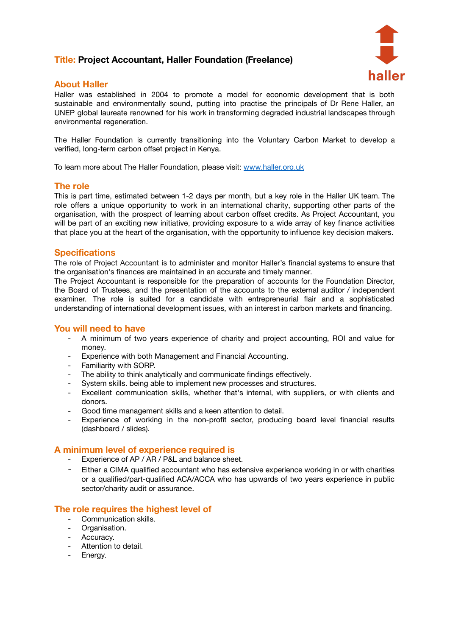# **Title: Project Accountant, Haller Foundation (Freelance)**



# **About Haller**

Haller was established in 2004 to promote a model for economic development that is both sustainable and environmentally sound, putting into practise the principals of Dr Rene Haller, an UNEP global laureate renowned for his work in transforming degraded industrial landscapes through environmental regeneration.

The Haller Foundation is currently transitioning into the Voluntary Carbon Market to develop a verified, long-term carbon offset project in Kenya.

To learn more about The Haller Foundation, please visit: [www.haller.org.uk](http://www.haller.org.uk)

### **The role**

This is part time, estimated between 1-2 days per month, but a key role in the Haller UK team. The role offers a unique opportunity to work in an international charity, supporting other parts of the organisation, with the prospect of learning about carbon offset credits. As Project Accountant, you will be part of an exciting new initiative, providing exposure to a wide array of key finance activities that place you at the heart of the organisation, with the opportunity to influence key decision makers.

### **Specifications**

The role of Project Accountant is to administer and monitor Haller's financial systems to ensure that the organisation's finances are maintained in an accurate and timely manner.

The Project Accountant is responsible for the preparation of accounts for the Foundation Director, the Board of Trustees, and the presentation of the accounts to the external auditor / independent examiner. The role is suited for a candidate with entrepreneurial flair and a sophisticated understanding of international development issues, with an interest in carbon markets and financing.

#### **You will need to have**

- A minimum of two years experience of charity and project accounting, ROI and value for money.
- Experience with both Management and Financial Accounting.
- Familiarity with SORP.
- The ability to think analytically and communicate findings effectively.
- System skills. being able to implement new processes and structures.
- Excellent communication skills, whether that's internal, with suppliers, or with clients and donors.
- Good time management skills and a keen attention to detail.
- Experience of working in the non-profit sector, producing board level financial results (dashboard / slides).

#### **A minimum level of experience required is**

- Experience of AP / AR / P&L and balance sheet.
- Either a CIMA qualified accountant who has extensive experience working in or with charities or a qualified/part-qualified ACA/ACCA who has upwards of two years experience in public sector/charity audit or assurance.

## **The role requires the highest level of**

- Communication skills.
- Organisation.
- Accuracy.
- Attention to detail.
- Energy.